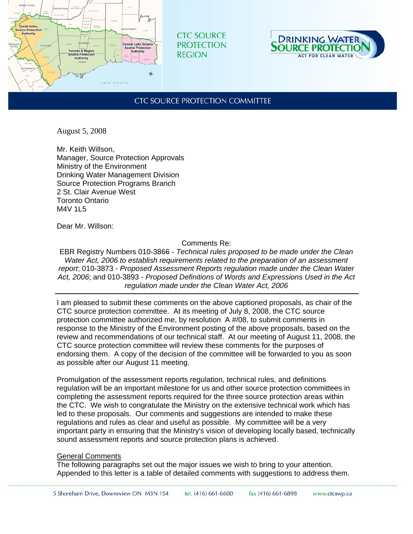

**CTC SOURCE PROTECTION REGION** 



## **CTC SOURCE PROTECTION COMMITTEE**

August 5, 2008

Mr. Keith Willson, Manager, Source Protection Approvals Ministry of the Environment Drinking Water Management Division Source Protection Programs Branch 2 St. Clair Avenue West Toronto Ontario M4V 1I 5

Dear Mr. Willson:

Comments Re:

EBR Registry Numbers 010-3866 - *Technical rules proposed to be made under the Clean Water Act, 2006 to establish requirements related to the preparation of an assessment report*; 010-3873 - *Proposed Assessment Reports regulation made under the Clean Water Act, 2006*; and 010-3893 - *Proposed Definitions of Words and Expressions Used in the Act regulation made under the Clean Water Act, 2006*

I am pleased to submit these comments on the above captioned proposals, as chair of the CTC source protection committee. At its meeting of July 8, 2008, the CTC source protection committee authorized me, by resolution A #/08, to submit comments in response to the Ministry of the Environment posting of the above proposals, based on the review and recommendations of our technical staff. At our meeting of August 11, 2008, the CTC source protection committee will review these comments for the purposes of endorsing them. A copy of the decision of the committee will be forwarded to you as soon as possible after our August 11 meeting.

Promulgation of the assessment reports regulation, technical rules, and definitions regulation will be an important milestone for us and other source protection committees in completing the assessment reports required for the three source protection areas within the CTC. We wish to congratulate the Ministry on the extensive technical work which has led to these proposals. Our comments and suggestions are intended to make these regulations and rules as clear and useful as possible. My committee will be a very important party in ensuring that the Ministry's vision of developing locally based, technically sound assessment reports and source protection plans is achieved.

## General Comments

The following paragraphs set out the major issues we wish to bring to your attention. Appended to this letter is a table of detailed comments with suggestions to address them.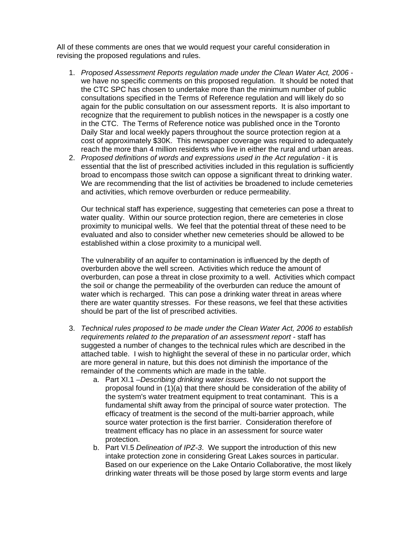All of these comments are ones that we would request your careful consideration in revising the proposed regulations and rules.

- 1. *Proposed Assessment Reports regulation made under the Clean Water Act, 2006* we have no specific comments on this proposed regulation. It should be noted that the CTC SPC has chosen to undertake more than the minimum number of public consultations specified in the Terms of Reference regulation and will likely do so again for the public consultation on our assessment reports. It is also important to recognize that the requirement to publish notices in the newspaper is a costly one in the CTC. The Terms of Reference notice was published once in the Toronto Daily Star and local weekly papers throughout the source protection region at a cost of approximately \$30K. This newspaper coverage was required to adequately reach the more than 4 million residents who live in either the rural and urban areas.
- 2. *Proposed definitions of words and expressions used in the Act regulation*  it is essential that the list of prescribed activities included in this regulation is sufficiently broad to encompass those switch can oppose a significant threat to drinking water. We are recommending that the list of activities be broadened to include cemeteries and activities, which remove overburden or reduce permeability.

Our technical staff has experience, suggesting that cemeteries can pose a threat to water quality. Within our source protection region, there are cemeteries in close proximity to municipal wells. We feel that the potential threat of these need to be evaluated and also to consider whether new cemeteries should be allowed to be established within a close proximity to a municipal well.

The vulnerability of an aquifer to contamination is influenced by the depth of overburden above the well screen. Activities which reduce the amount of overburden, can pose a threat in close proximity to a well. Activities which compact the soil or change the permeability of the overburden can reduce the amount of water which is recharged. This can pose a drinking water threat in areas where there are water quantity stresses. For these reasons, we feel that these activities should be part of the list of prescribed activities.

- 3. *Technical rules proposed to be made under the Clean Water Act, 2006 to establish requirements related to the preparation of an assessment report -* staff has suggested a number of changes to the technical rules which are described in the attached table. I wish to highlight the several of these in no particular order, which are more general in nature, but this does not diminish the importance of the remainder of the comments which are made in the table.
	- a. Part XI.1 –*Describing drinking water issues*. We do not support the proposal found in (1)(a) that there should be consideration of the ability of the system's water treatment equipment to treat contaminant. This is a fundamental shift away from the principal of source water protection. The efficacy of treatment is the second of the multi-barrier approach, while source water protection is the first barrier. Consideration therefore of treatment efficacy has no place in an assessment for source water protection.
	- b. Part VI.5 *Delineation of IPZ-3*. We support the introduction of this new intake protection zone in considering Great Lakes sources in particular. Based on our experience on the Lake Ontario Collaborative, the most likely drinking water threats will be those posed by large storm events and large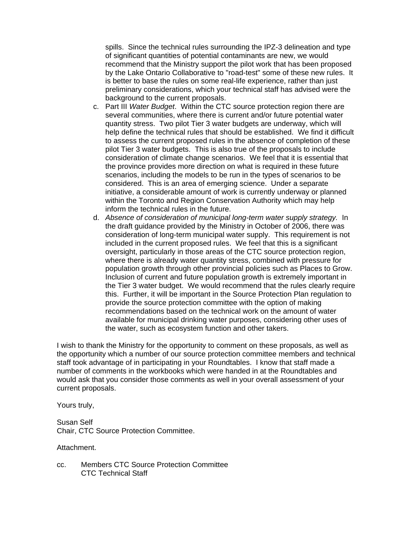spills. Since the technical rules surrounding the IPZ-3 delineation and type of significant quantities of potential contaminants are new, we would recommend that the Ministry support the pilot work that has been proposed by the Lake Ontario Collaborative to "road-test" some of these new rules. It is better to base the rules on some real-life experience, rather than just preliminary considerations, which your technical staff has advised were the background to the current proposals.

- c. Part III *Water Budget*. Within the CTC source protection region there are several communities, where there is current and/or future potential water quantity stress. Two pilot Tier 3 water budgets are underway, which will help define the technical rules that should be established. We find it difficult to assess the current proposed rules in the absence of completion of these pilot Tier 3 water budgets. This is also true of the proposals to include consideration of climate change scenarios. We feel that it is essential that the province provides more direction on what is required in these future scenarios, including the models to be run in the types of scenarios to be considered. This is an area of emerging science. Under a separate initiative, a considerable amount of work is currently underway or planned within the Toronto and Region Conservation Authority which may help inform the technical rules in the future.
- d. *Absence of consideration of municipal long-term water supply strategy.* In the draft guidance provided by the Ministry in October of 2006, there was consideration of long-term municipal water supply. This requirement is not included in the current proposed rules. We feel that this is a significant oversight, particularly in those areas of the CTC source protection region, where there is already water quantity stress, combined with pressure for population growth through other provincial policies such as Places to Grow. Inclusion of current and future population growth is extremely important in the Tier 3 water budget. We would recommend that the rules clearly require this. Further, it will be important in the Source Protection Plan regulation to provide the source protection committee with the option of making recommendations based on the technical work on the amount of water available for municipal drinking water purposes, considering other uses of the water, such as ecosystem function and other takers.

I wish to thank the Ministry for the opportunity to comment on these proposals, as well as the opportunity which a number of our source protection committee members and technical staff took advantage of in participating in your Roundtables. I know that staff made a number of comments in the workbooks which were handed in at the Roundtables and would ask that you consider those comments as well in your overall assessment of your current proposals.

Yours truly,

### Susan Self Chair, CTC Source Protection Committee.

#### Attachment.

cc. Members CTC Source Protection Committee CTC Technical Staff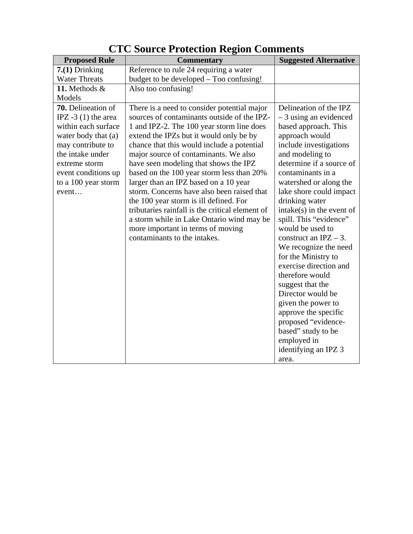| <b>Proposed Rule</b>                                                                                                                                                                                      | <b>Commentary</b>                                                                                                                                                                                                                                                                                                                                                                                                                                                                                                                                                                                                                                                     | <b>Suggested Alternative</b>                                                                                                                                                                                                                                                                                                                                              |
|-----------------------------------------------------------------------------------------------------------------------------------------------------------------------------------------------------------|-----------------------------------------------------------------------------------------------------------------------------------------------------------------------------------------------------------------------------------------------------------------------------------------------------------------------------------------------------------------------------------------------------------------------------------------------------------------------------------------------------------------------------------------------------------------------------------------------------------------------------------------------------------------------|---------------------------------------------------------------------------------------------------------------------------------------------------------------------------------------------------------------------------------------------------------------------------------------------------------------------------------------------------------------------------|
| $7(1)$ Drinking                                                                                                                                                                                           | Reference to rule 24 requiring a water                                                                                                                                                                                                                                                                                                                                                                                                                                                                                                                                                                                                                                |                                                                                                                                                                                                                                                                                                                                                                           |
| <b>Water Threats</b>                                                                                                                                                                                      | budget to be developed – Too confusing!                                                                                                                                                                                                                                                                                                                                                                                                                                                                                                                                                                                                                               |                                                                                                                                                                                                                                                                                                                                                                           |
| 11. Methods &                                                                                                                                                                                             | Also too confusing!                                                                                                                                                                                                                                                                                                                                                                                                                                                                                                                                                                                                                                                   |                                                                                                                                                                                                                                                                                                                                                                           |
| Models                                                                                                                                                                                                    |                                                                                                                                                                                                                                                                                                                                                                                                                                                                                                                                                                                                                                                                       |                                                                                                                                                                                                                                                                                                                                                                           |
| 70. Delineation of<br>IPZ $-3(1)$ the area<br>within each surface<br>water body that (a)<br>may contribute to<br>the intake under<br>extreme storm<br>event conditions up<br>to a 100 year storm<br>event | There is a need to consider potential major<br>sources of contaminants outside of the IPZ-<br>1 and IPZ-2. The 100 year storm line does<br>extend the IPZs but it would only be by<br>chance that this would include a potential<br>major source of contaminants. We also<br>have seen modeling that shows the IPZ<br>based on the 100 year storm less than 20%<br>larger than an IPZ based on a 10 year<br>storm. Concerns have also been raised that<br>the 100 year storm is ill defined. For<br>tributaries rainfall is the critical element of<br>a storm while in Lake Ontario wind may be<br>more important in terms of moving<br>contaminants to the intakes. | Delineation of the IPZ<br>$-3$ using an evidenced<br>based approach. This<br>approach would<br>include investigations<br>and modeling to<br>determine if a source of<br>contaminants in a<br>watershed or along the<br>lake shore could impact<br>drinking water<br>$intake(s)$ in the event of<br>spill. This "evidence"<br>would be used to<br>construct an $IPZ - 3$ . |
|                                                                                                                                                                                                           |                                                                                                                                                                                                                                                                                                                                                                                                                                                                                                                                                                                                                                                                       | We recognize the need<br>for the Ministry to<br>exercise direction and<br>therefore would<br>suggest that the<br>Director would be<br>given the power to<br>approve the specific<br>proposed "evidence-<br>based" study to be<br>employed in<br>identifying an IPZ 3<br>area.                                                                                             |

# **CTC Source Protection Region Comments**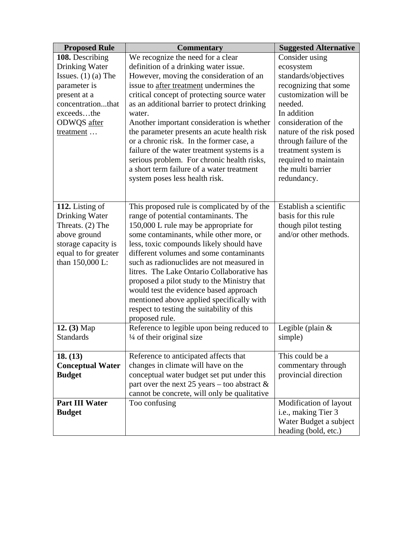| <b>Proposed Rule</b>    | <b>Commentary</b>                                            | <b>Suggested Alternative</b> |
|-------------------------|--------------------------------------------------------------|------------------------------|
| 108. Describing         | We recognize the need for a clear                            | Consider using               |
| Drinking Water          | definition of a drinking water issue.                        | ecosystem                    |
| Issues. $(1)$ (a) The   | However, moving the consideration of an                      | standards/objectives         |
| parameter is            | issue to after treatment undermines the                      | recognizing that some        |
| present at a            | critical concept of protecting source water                  | customization will be        |
| concentrationthat       | as an additional barrier to protect drinking                 | needed.                      |
| exceedsthe              | water.                                                       | In addition                  |
| ODWQS after             | Another important consideration is whether                   | consideration of the         |
| treatment               | the parameter presents an acute health risk                  | nature of the risk posed     |
|                         | or a chronic risk. In the former case, a                     | through failure of the       |
|                         | failure of the water treatment systems is a                  | treatment system is          |
|                         | serious problem. For chronic health risks,                   | required to maintain         |
|                         | a short term failure of a water treatment                    | the multi barrier            |
|                         | system poses less health risk.                               | redundancy.                  |
|                         |                                                              |                              |
|                         |                                                              |                              |
| 112. Listing of         | This proposed rule is complicated by of the                  | Establish a scientific       |
| Drinking Water          | range of potential contaminants. The                         | basis for this rule          |
| Threats. (2) The        | 150,000 L rule may be appropriate for                        | though pilot testing         |
| above ground            | some contaminants, while other more, or                      | and/or other methods.        |
| storage capacity is     | less, toxic compounds likely should have                     |                              |
| equal to for greater    | different volumes and some contaminants                      |                              |
| than 150,000 L:         | such as radionuclides are not measured in                    |                              |
|                         | litres. The Lake Ontario Collaborative has                   |                              |
|                         | proposed a pilot study to the Ministry that                  |                              |
|                         | would test the evidence based approach                       |                              |
|                         | mentioned above applied specifically with                    |                              |
|                         | respect to testing the suitability of this                   |                              |
| 12. (3) Map             | proposed rule.<br>Reference to legible upon being reduced to | Legible (plain $&$           |
| <b>Standards</b>        | $\frac{1}{4}$ of their original size                         | simple)                      |
|                         |                                                              |                              |
| 18. (13)                | Reference to anticipated affects that                        | This could be a              |
| <b>Conceptual Water</b> | changes in climate will have on the                          | commentary through           |
| <b>Budget</b>           | conceptual water budget set put under this                   | provincial direction         |
|                         | part over the next 25 years – too abstract $\&$              |                              |
|                         | cannot be concrete, will only be qualitative                 |                              |
| <b>Part III Water</b>   | Too confusing                                                | Modification of layout       |
| <b>Budget</b>           |                                                              | i.e., making Tier 3          |
|                         |                                                              | Water Budget a subject       |
|                         |                                                              | heading (bold, etc.)         |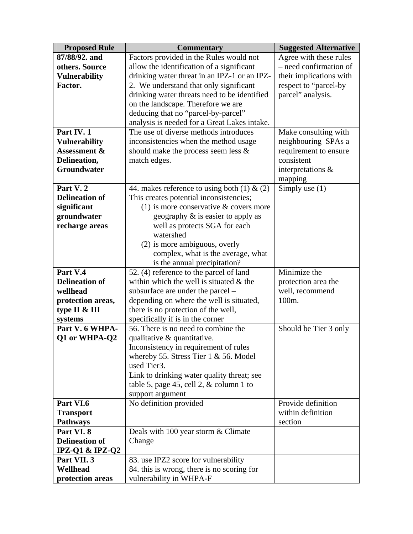| <b>Proposed Rule</b>    | <b>Commentary</b>                              | <b>Suggested Alternative</b> |
|-------------------------|------------------------------------------------|------------------------------|
| 87/88/92. and           | Factors provided in the Rules would not        | Agree with these rules       |
| others. Source          | allow the identification of a significant      | - need confirmation of       |
| <b>Vulnerability</b>    | drinking water threat in an IPZ-1 or an IPZ-   | their implications with      |
| Factor.                 | 2. We understand that only significant         | respect to "parcel-by        |
|                         | drinking water threats need to be identified   | parcel" analysis.            |
|                         | on the landscape. Therefore we are             |                              |
|                         | deducing that no "parcel-by-parcel"            |                              |
|                         | analysis is needed for a Great Lakes intake.   |                              |
| Part IV. 1              | The use of diverse methods introduces          | Make consulting with         |
| <b>Vulnerability</b>    | inconsistencies when the method usage          | neighbouring SPAs a          |
| <b>Assessment &amp;</b> | should make the process seem less $\&$         | requirement to ensure        |
| Delineation,            | match edges.                                   | consistent                   |
| Groundwater             |                                                | interpretations &            |
|                         |                                                | mapping                      |
| Part V.2                | 44. makes reference to using both (1) $\&$ (2) | Simply use $(1)$             |
| <b>Delineation of</b>   | This creates potential inconsistencies;        |                              |
| significant             | (1) is more conservative $&$ covers more       |                              |
| groundwater             | geography $\&$ is easier to apply as           |                              |
| recharge areas          | well as protects SGA for each                  |                              |
|                         | watershed                                      |                              |
|                         | (2) is more ambiguous, overly                  |                              |
|                         | complex, what is the average, what             |                              |
|                         | is the annual precipitation?                   |                              |
| Part V.4                | 52. (4) reference to the parcel of land        | Minimize the                 |
| <b>Delineation of</b>   | within which the well is situated $\&$ the     | protection area the          |
| wellhead                | subsurface are under the parcel –              | well, recommend              |
| protection areas,       | depending on where the well is situated,       | 100m.                        |
| type II & III           | there is no protection of the well,            |                              |
| systems                 | specifically if is in the corner               |                              |
| Part V. 6 WHPA-         | 56. There is no need to combine the            | Should be Tier 3 only        |
| Q1 or WHPA-Q2           | qualitative $\&$ quantitative.                 |                              |
|                         | Inconsistency in requirement of rules          |                              |
|                         | whereby 55. Stress Tier 1 & 56. Model          |                              |
|                         | used Tier3.                                    |                              |
|                         | Link to drinking water quality threat; see     |                              |
|                         | table 5, page 45, cell 2, $&$ column 1 to      |                              |
|                         | support argument                               |                              |
| Part VI.6               | No definition provided                         | Provide definition           |
| <b>Transport</b>        |                                                | within definition            |
| <b>Pathways</b>         |                                                | section                      |
| Part VI. 8              | Deals with 100 year storm & Climate            |                              |
| <b>Delineation of</b>   | Change                                         |                              |
| IPZ-Q1 & IPZ-Q2         |                                                |                              |
| Part VII. 3             | 83. use IPZ2 score for vulnerability           |                              |
| Wellhead                | 84. this is wrong, there is no scoring for     |                              |
| protection areas        | vulnerability in WHPA-F                        |                              |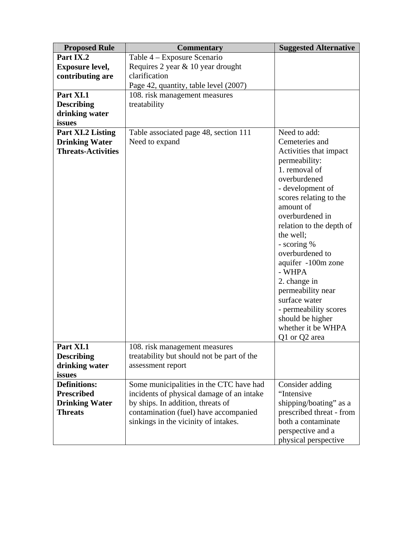| <b>Proposed Rule</b>      | <b>Commentary</b>                          | <b>Suggested Alternative</b> |
|---------------------------|--------------------------------------------|------------------------------|
| Part IX.2                 | Table 4 – Exposure Scenario                |                              |
| <b>Exposure level,</b>    | Requires 2 year & 10 year drought          |                              |
| contributing are          | clarification                              |                              |
|                           | Page 42, quantity, table level (2007)      |                              |
| Part XI.1                 | 108. risk management measures              |                              |
| <b>Describing</b>         | treatability                               |                              |
| drinking water            |                                            |                              |
| issues                    |                                            |                              |
| Part XI.2 Listing         | Table associated page 48, section 111      | Need to add:                 |
| <b>Drinking Water</b>     | Need to expand                             | Cemeteries and               |
| <b>Threats-Activities</b> |                                            | Activities that impact       |
|                           |                                            | permeability:                |
|                           |                                            | 1. removal of                |
|                           |                                            | overburdened                 |
|                           |                                            | - development of             |
|                           |                                            | scores relating to the       |
|                           |                                            | amount of                    |
|                           |                                            | overburdened in              |
|                           |                                            | relation to the depth of     |
|                           |                                            | the well;                    |
|                           |                                            | - scoring %                  |
|                           |                                            | overburdened to              |
|                           |                                            | aquifer -100m zone           |
|                           |                                            | - WHPA                       |
|                           |                                            | 2. change in                 |
|                           |                                            | permeability near            |
|                           |                                            | surface water                |
|                           |                                            | - permeability scores        |
|                           |                                            | should be higher             |
|                           |                                            | whether it be WHPA           |
|                           |                                            | Q1 or Q2 area                |
| Part XI.1                 | 108. risk management measures              |                              |
| <b>Describing</b>         | treatability but should not be part of the |                              |
| drinking water            | assessment report                          |                              |
| issues                    |                                            |                              |
| <b>Definitions:</b>       | Some municipalities in the CTC have had    | Consider adding              |
| <b>Prescribed</b>         | incidents of physical damage of an intake  | "Intensive                   |
| <b>Drinking Water</b>     | by ships. In addition, threats of          | shipping/boating" as a       |
| <b>Threats</b>            | contamination (fuel) have accompanied      | prescribed threat - from     |
|                           | sinkings in the vicinity of intakes.       | both a contaminate           |
|                           |                                            | perspective and a            |
|                           |                                            | physical perspective         |